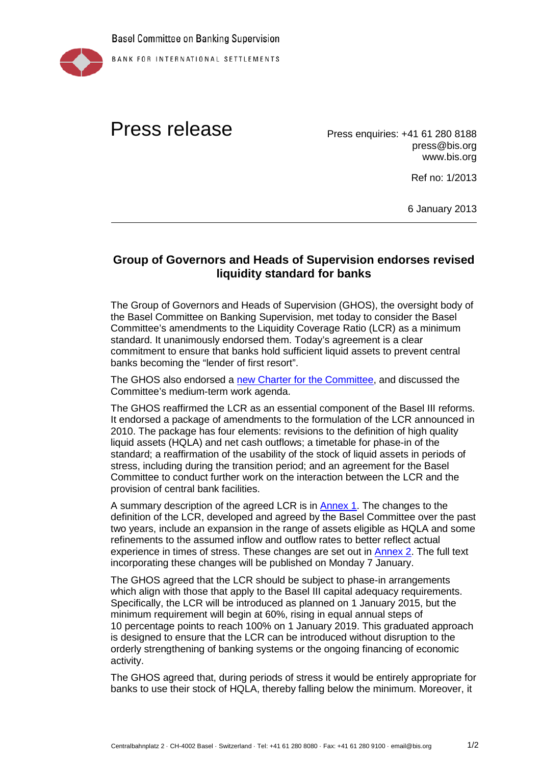

## Press release Press enquiries: +41 61 280 8188

press@bis.org www.bis.org

Ref no: 1/2013

6 January 2013

## **Group of Governors and Heads of Supervision endorses revised liquidity standard for banks**

The Group of Governors and Heads of Supervision (GHOS), the oversight body of the Basel Committee on Banking Supervision, met today to consider the Basel Committee's amendments to the Liquidity Coverage Ratio (LCR) as a minimum standard. It unanimously endorsed them. Today's agreement is a clear commitment to ensure that banks hold sufficient liquid assets to prevent central banks becoming the "lender of first resort".

The GHOS also endorsed a [new Charter for the Committee,](http://www.bis.org/bcbs/charter.htm) and discussed the Committee's medium-term work agenda.

The GHOS reaffirmed the LCR as an essential component of the Basel III reforms. It endorsed a package of amendments to the formulation of the LCR announced in 2010. The package has four elements: revisions to the definition of high quality liquid assets (HQLA) and net cash outflows; a timetable for phase-in of the standard; a reaffirmation of the usability of the stock of liquid assets in periods of stress, including during the transition period; and an agreement for the Basel Committee to conduct further work on the interaction between the LCR and the provision of central bank facilities.

A summary description of the agreed LCR is in [Annex 1.](http://www.bis.org/press/p130106a.pdf) The changes to the definition of the LCR, developed and agreed by the Basel Committee over the past two years, include an expansion in the range of assets eligible as HQLA and some refinements to the assumed inflow and outflow rates to better reflect actual experience in times of stress. These changes are set out in [Annex 2.](http://www.bis.org/press/p130106b.pdf) The full text incorporating these changes will be published on Monday 7 January.

The GHOS agreed that the LCR should be subject to phase-in arrangements which align with those that apply to the Basel III capital adequacy requirements. Specifically, the LCR will be introduced as planned on 1 January 2015, but the minimum requirement will begin at 60%, rising in equal annual steps of 10 percentage points to reach 100% on 1 January 2019. This graduated approach is designed to ensure that the LCR can be introduced without disruption to the orderly strengthening of banking systems or the ongoing financing of economic activity.

The GHOS agreed that, during periods of stress it would be entirely appropriate for banks to use their stock of HQLA, thereby falling below the minimum. Moreover, it